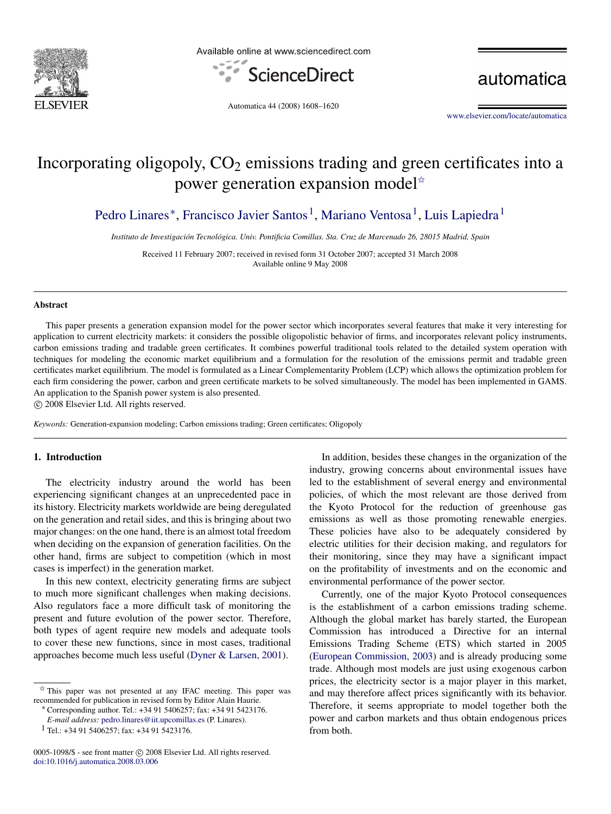

Available online at www.sciencedirect.com



automatica

Automatica 44 (2008) 1608–1620

[www.elsevier.com/locate/automatica](http://www.elsevier.com/locate/automatica)

# Incorporating oligopoly,  $CO<sub>2</sub>$  emissions trading and green certificates into a power generation expansion model<sup> $\star$ </sup>

[Pedro Linares](#page--1-0)\*, [Francisco Javier Santos](#page--1-1)<sup>[1](#page-0-2)</sup>, [Mariano Ventosa](#page--1-2)<sup>1</sup>, [Luis Lapiedra](#page--1-3)<sup>1</sup>

*Instituto de Investigacion Tecnol ´ ogica. Univ. Pontificia Comillas. Sta. Cruz de Marcenado 26, 28015 Madrid, Spain ´*

Received 11 February 2007; received in revised form 31 October 2007; accepted 31 March 2008 Available online 9 May 2008

#### Abstract

This paper presents a generation expansion model for the power sector which incorporates several features that make it very interesting for application to current electricity markets: it considers the possible oligopolistic behavior of firms, and incorporates relevant policy instruments, carbon emissions trading and tradable green certificates. It combines powerful traditional tools related to the detailed system operation with techniques for modeling the economic market equilibrium and a formulation for the resolution of the emissions permit and tradable green certificates market equilibrium. The model is formulated as a Linear Complementarity Problem (LCP) which allows the optimization problem for each firm considering the power, carbon and green certificate markets to be solved simultaneously. The model has been implemented in GAMS. An application to the Spanish power system is also presented.

c 2008 Elsevier Ltd. All rights reserved.

*Keywords:* Generation-expansion modeling; Carbon emissions trading; Green certificates; Oligopoly

## 1. Introduction

The electricity industry around the world has been experiencing significant changes at an unprecedented pace in its history. Electricity markets worldwide are being deregulated on the generation and retail sides, and this is bringing about two major changes: on the one hand, there is an almost total freedom when deciding on the expansion of generation facilities. On the other hand, firms are subject to competition (which in most cases is imperfect) in the generation market.

In this new context, electricity generating firms are subject to much more significant challenges when making decisions. Also regulators face a more difficult task of monitoring the present and future evolution of the power sector. Therefore, both types of agent require new models and adequate tools to cover these new functions, since in most cases, traditional approaches become much less useful [\(Dyner](#page--1-4) [&](#page--1-4) [Larsen,](#page--1-4) [2001\)](#page--1-4).

In addition, besides these changes in the organization of the industry, growing concerns about environmental issues have led to the establishment of several energy and environmental policies, of which the most relevant are those derived from the Kyoto Protocol for the reduction of greenhouse gas emissions as well as those promoting renewable energies. These policies have also to be adequately considered by electric utilities for their decision making, and regulators for their monitoring, since they may have a significant impact on the profitability of investments and on the economic and environmental performance of the power sector.

Currently, one of the major Kyoto Protocol consequences is the establishment of a carbon emissions trading scheme. Although the global market has barely started, the European Commission has introduced a Directive for an internal Emissions Trading Scheme (ETS) which started in 2005 [\(European](#page--1-5) [Commission,](#page--1-5) [2003\)](#page--1-5) and is already producing some trade. Although most models are just using exogenous carbon prices, the electricity sector is a major player in this market, and may therefore affect prices significantly with its behavior. Therefore, it seems appropriate to model together both the power and carbon markets and thus obtain endogenous prices from both.

<span id="page-0-0"></span> $\overrightarrow{x}$  This paper was not presented at any IFAC meeting. This paper was recommended for publication in revised form by Editor Alain Haurie.

<span id="page-0-1"></span><sup>∗</sup> Corresponding author. Tel.: +34 91 5406257; fax: +34 91 5423176.

*E-mail address:* [pedro.linares@iit.upcomillas.es](mailto:pedro.linares@iit.upcomillas.es) (P. Linares).

<span id="page-0-2"></span> $1$  Tel.: +34 91 5406257; fax: +34 91 5423176.

<sup>0005-1098/\$ -</sup> see front matter © 2008 Elsevier Ltd. All rights reserved. [doi:10.1016/j.automatica.2008.03.006](http://dx.doi.org/10.1016/j.automatica.2008.03.006)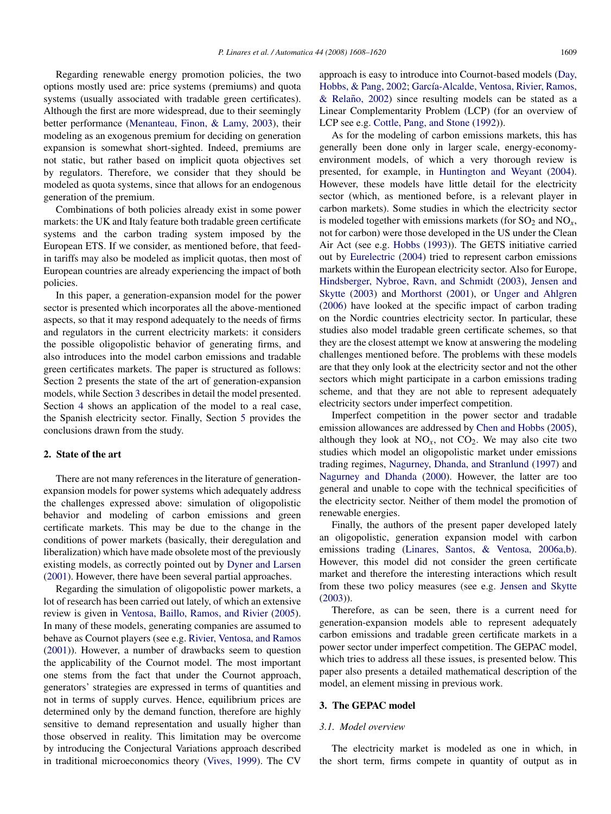Regarding renewable energy promotion policies, the two options mostly used are: price systems (premiums) and quota systems (usually associated with tradable green certificates). Although the first are more widespread, due to their seemingly better performance [\(Menanteau,](#page--1-6) [Finon,](#page--1-6) [&](#page--1-6) [Lamy,](#page--1-6) [2003\)](#page--1-6), their modeling as an exogenous premium for deciding on generation expansion is somewhat short-sighted. Indeed, premiums are not static, but rather based on implicit quota objectives set by regulators. Therefore, we consider that they should be modeled as quota systems, since that allows for an endogenous generation of the premium.

Combinations of both policies already exist in some power markets: the UK and Italy feature both tradable green certificate systems and the carbon trading system imposed by the European ETS. If we consider, as mentioned before, that feedin tariffs may also be modeled as implicit quotas, then most of European countries are already experiencing the impact of both policies.

In this paper, a generation-expansion model for the power sector is presented which incorporates all the above-mentioned aspects, so that it may respond adequately to the needs of firms and regulators in the current electricity markets: it considers the possible oligopolistic behavior of generating firms, and also introduces into the model carbon emissions and tradable green certificates markets. The paper is structured as follows: Section [2](#page-1-0) presents the state of the art of generation-expansion models, while Section [3](#page-1-1) describes in detail the model presented. Section [4](#page--1-7) shows an application of the model to a real case, the Spanish electricity sector. Finally, Section [5](#page--1-8) provides the conclusions drawn from the study.

### <span id="page-1-0"></span>2. State of the art

There are not many references in the literature of generationexpansion models for power systems which adequately address the challenges expressed above: simulation of oligopolistic behavior and modeling of carbon emissions and green certificate markets. This may be due to the change in the conditions of power markets (basically, their deregulation and liberalization) which have made obsolete most of the previously existing models, as correctly pointed out by [Dyner](#page--1-4) [and](#page--1-4) [Larsen](#page--1-4) [\(2001\)](#page--1-4). However, there have been several partial approaches.

Regarding the simulation of oligopolistic power markets, a lot of research has been carried out lately, of which an extensive review is given in [Ventosa,](#page--1-9) [Baillo,](#page--1-9) [Ramos,](#page--1-9) [and](#page--1-9) [Rivier](#page--1-9) [\(2005\)](#page--1-9). In many of these models, generating companies are assumed to behave as Cournot players (see e.g. [Rivier,](#page--1-10) [Ventosa,](#page--1-10) [and](#page--1-10) [Ramos](#page--1-10) [\(2001\)](#page--1-10)). However, a number of drawbacks seem to question the applicability of the Cournot model. The most important one stems from the fact that under the Cournot approach, generators' strategies are expressed in terms of quantities and not in terms of supply curves. Hence, equilibrium prices are determined only by the demand function, therefore are highly sensitive to demand representation and usually higher than those observed in reality. This limitation may be overcome by introducing the Conjectural Variations approach described in traditional microeconomics theory [\(Vives,](#page--1-11) [1999\)](#page--1-11). The CV approach is easy to introduce into Cournot-based models [\(Day,](#page--1-12) [Hobbs,](#page--1-12) [&](#page--1-12) [Pang,](#page--1-12) [2002;](#page--1-12) García-Alcalde, [Ventosa,](#page--1-13) [Rivier,](#page--1-13) [Ramos,](#page--1-13)  $& Relaño, 2002)$  $& Relaño, 2002)$  $& Relaño, 2002)$  since resulting models can be stated as a Linear Complementarity Problem (LCP) (for an overview of LCP see e.g. [Cottle,](#page--1-14) [Pang,](#page--1-14) [and](#page--1-14) [Stone](#page--1-14) [\(1992\)](#page--1-14)).

As for the modeling of carbon emissions markets, this has generally been done only in larger scale, energy-economyenvironment models, of which a very thorough review is presented, for example, in [Huntington](#page--1-15) [and](#page--1-15) [Weyant](#page--1-15) [\(2004\)](#page--1-15). However, these models have little detail for the electricity sector (which, as mentioned before, is a relevant player in carbon markets). Some studies in which the electricity sector is modeled together with emissions markets (for  $SO_2$  and  $NO_x$ , not for carbon) were those developed in the US under the Clean Air Act (see e.g. [Hobbs](#page--1-16) [\(1993\)](#page--1-16)). The GETS initiative carried out by [Eurelectric](#page--1-17) [\(2004\)](#page--1-17) tried to represent carbon emissions markets within the European electricity sector. Also for Europe, [Hindsberger,](#page--1-18) [Nybroe,](#page--1-18) [Ravn,](#page--1-18) [and](#page--1-18) [Schmidt](#page--1-18) [\(2003\)](#page--1-18), [Jensen](#page--1-19) [and](#page--1-19) [Skytte](#page--1-19) [\(2003\)](#page--1-19) and [Morthorst](#page--1-20) [\(2001\)](#page--1-20), or [Unger](#page--1-21) [and](#page--1-21) [Ahlgren](#page--1-21) [\(2006\)](#page--1-21) have looked at the specific impact of carbon trading on the Nordic countries electricity sector. In particular, these studies also model tradable green certificate schemes, so that they are the closest attempt we know at answering the modeling challenges mentioned before. The problems with these models are that they only look at the electricity sector and not the other sectors which might participate in a carbon emissions trading scheme, and that they are not able to represent adequately electricity sectors under imperfect competition.

Imperfect competition in the power sector and tradable emission allowances are addressed by [Chen](#page--1-22) [and](#page--1-22) [Hobbs](#page--1-22) [\(2005\)](#page--1-22), although they look at  $NO_x$ , not  $CO_2$ . We may also cite two studies which model an oligopolistic market under emissions trading regimes, [Nagurney,](#page--1-23) [Dhanda,](#page--1-23) [and](#page--1-23) [Stranlund](#page--1-23) [\(1997\)](#page--1-23) and [Nagurney](#page--1-24) [and](#page--1-24) [Dhanda](#page--1-24) [\(2000\)](#page--1-24). However, the latter are too general and unable to cope with the technical specificities of the electricity sector. Neither of them model the promotion of renewable energies.

Finally, the authors of the present paper developed lately an oligopolistic, generation expansion model with carbon emissions trading [\(Linares,](#page--1-25) [Santos,](#page--1-25) [&](#page--1-25) [Ventosa,](#page--1-25) [2006a,b\)](#page--1-25). However, this model did not consider the green certificate market and therefore the interesting interactions which result from these two policy measures (see e.g. [Jensen](#page--1-19) [and](#page--1-19) [Skytte](#page--1-19) [\(2003\)](#page--1-19)).

Therefore, as can be seen, there is a current need for generation-expansion models able to represent adequately carbon emissions and tradable green certificate markets in a power sector under imperfect competition. The GEPAC model, which tries to address all these issues, is presented below. This paper also presents a detailed mathematical description of the model, an element missing in previous work.

#### <span id="page-1-1"></span>3. The GEPAC model

#### *3.1. Model overview*

The electricity market is modeled as one in which, in the short term, firms compete in quantity of output as in